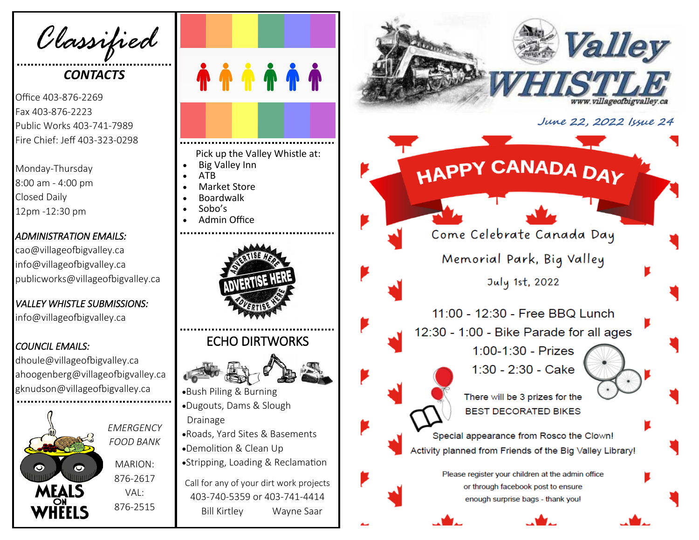*Classified*

## *CONTACTS*

Office 403 -876 -2269 Fax 403 -876 -2223 Public Works 403 -741 -7989 Fire Chief: Jeff 403 -323 -0298

Monday -Thursday 8:00 am - 4:00 pm Closed Daily 12pm -12:30 pm

#### *ADMINISTRATION EMAILS:*

cao@villageofbigvalley.ca info@villageofbigvalley.ca publicworks@villageofbigvalley.ca

## *VALLEY WHISTLE SUBMISSIONS:*

info@villageofbigvalley.ca

### *COUNCIL EMAILS:*

dhoule@villageofbigvalley.ca ahoogenberg@villageofbigvalley.ca gknudson@villageofbigvalley.ca



*EMERGENCY FOOD BANK* MARION: 876 -2617  $VAI$ 876 -2515



Pick up the Valley Whistle at:

- Big Valley Inn
- ATB
- Market Store • Boardwalk
- Sobo's
- 
- Admin Office



# ECHO DIRTWORKS



- •Bush Piling & Burning •Dugouts, Dams & Slough Drainage
- •Roads, Yard Sites & Basements •Demolition & Clean Up
- •Stripping, Loading & Reclamation

Call for any of your dirt work projects 403 -740 -5359 or 403 -741 -4414 Bill Kirtley Wayne Saar